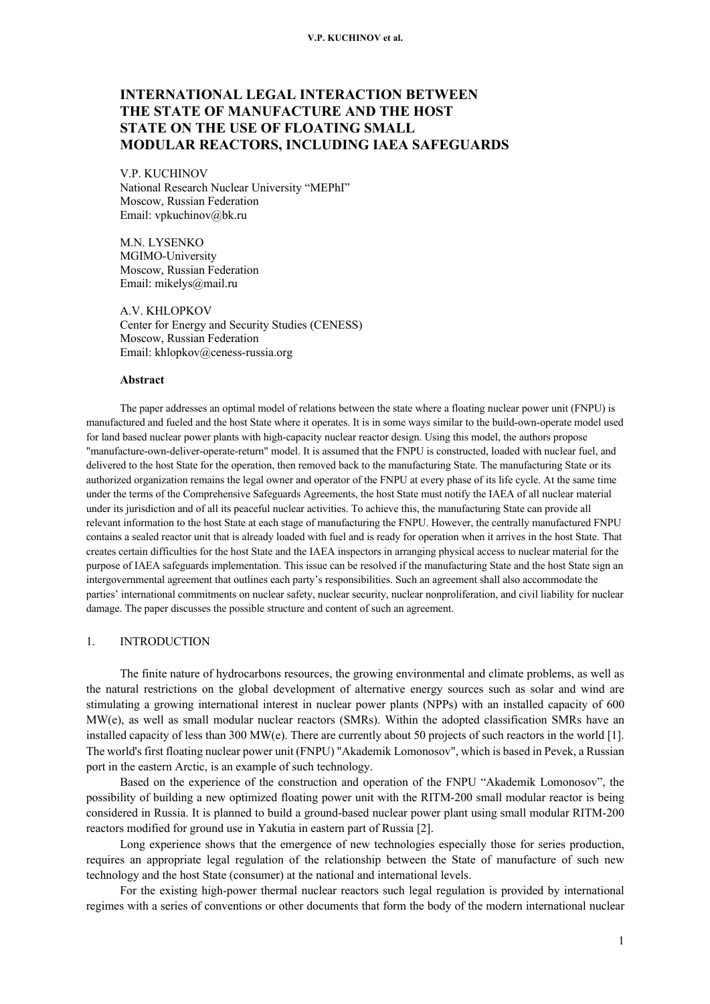# **INTERNATIONAL LEGAL INTERACTION BETWEEN THE STATE OF MANUFACTURE AND THE HOST STATE ON THE USE OF FLOATING SMALL MODULAR REACTORS, INCLUDING IAEA SAFEGUARDS**

V.P. KUCHINOV National Research Nuclear University "MEPhI" Moscow, Russian Federation Email: vpkuchinov@bk.ru

M.N. LYSENKO MGIMO-University Moscow, Russian Federation Email: mikelys@mail.ru

A.V. KHLOPKOV Center for Energy and Security Studies (CENESS) Moscow, Russian Federation Email: khlopkov@ceness-russia.org

#### **Abstract**

The paper addresses an optimal model of relations between the state where a floating nuclear power unit (FNPU) is manufactured and fueled and the host State where it operates. It is in some ways similar to the build-own-operate model used for land based nuclear power plants with high-capacity nuclear reactor design. Using this model, the authors propose "manufacture-own-deliver-operate-return" model. It is assumed that the FNPU is constructed, loaded with nuclear fuel, and delivered to the host State for the operation, then removed back to the manufacturing State. The manufacturing State or its authorized organization remains the legal owner and operator of the FNPU at every phase of its life cycle. At the same time under the terms of the Comprehensive Safeguards Agreements, the host State must notify the IAEA of all nuclear material under its jurisdiction and of all its peaceful nuclear activities. To achieve this, the manufacturing State can provide all relevant information to the host State at each stage of manufacturing the FNPU. However, the centrally manufactured FNPU contains a sealed reactor unit that is already loaded with fuel and is ready for operation when it arrives in the host State. That creates certain difficulties for the host State and the IAEA inspectors in arranging physical access to nuclear material for the purpose of IAEA safeguards implementation. This issue can be resolved if the manufacturing State and the host State sign an intergovernmental agreement that outlines each party's responsibilities. Such an agreement shall also accommodate the parties' international commitments on nuclear safety, nuclear security, nuclear nonproliferation, and civil liability for nuclear damage. The paper discusses the possible structure and content of such an agreement.

# 1. INTRODUCTION

The finite nature of hydrocarbons resources, the growing environmental and climate problems, as well as the natural restrictions on the global development of alternative energy sources such as solar and wind are stimulating a growing international interest in nuclear power plants (NPPs) with an installed capacity of 600 MW(e), as well as small modular nuclear reactors (SMRs). Within the adopted classification SMRs have an installed capacity of less than 300 MW(e). There are currently about 50 projects of such reactors in the world [1]. The world's first floating nuclear power unit (FNPU) "Akademik Lomonosov", which is based in Pevek, a Russian port in the eastern Arctic, is an example of such technology.

Based on the experience of the construction and operation of the FNPU "Akademik Lomonosov", the possibility of building a new optimized floating power unit with the RITM-200 small modular reactor is being considered in Russia. It is planned to build a ground-based nuclear power plant using small modular RITM-200 reactors modified for ground use in Yakutia in eastern part of Russia [2].

Long experience shows that the emergence of new technologies especially those for series production, requires an appropriate legal regulation of the relationship between the State of manufacture of such new technology and the host State (consumer) at the national and international levels.

For the existing high-power thermal nuclear reactors such legal regulation is provided by international regimes with a series of conventions or other documents that form the body of the modern international nuclear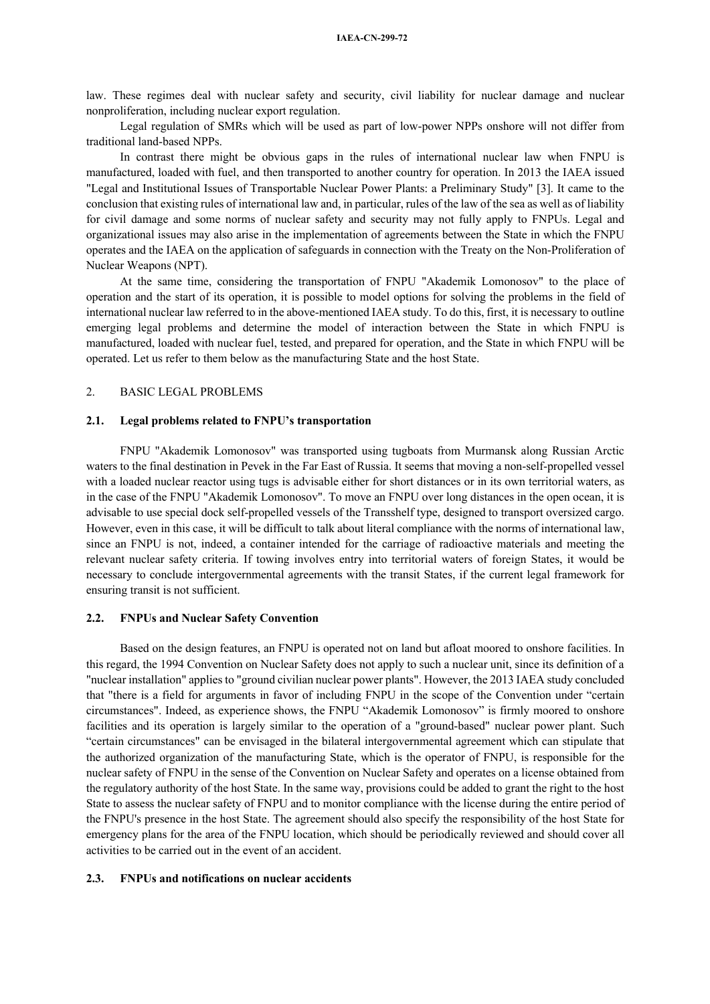law. These regimes deal with nuclear safety and security, civil liability for nuclear damage and nuclear nonproliferation, including nuclear export regulation.

Legal regulation of SMRs which will be used as part of low-power NPPs onshore will not differ from traditional land-based NPPs.

In contrast there might be obvious gaps in the rules of international nuclear law when FNPU is manufactured, loaded with fuel, and then transported to another country for operation. In 2013 the IAEA issued "Legal and Institutional Issues of Transportable Nuclear Power Plants: a Preliminary Study" [3]. It came to the conclusion that existing rules of international law and, in particular, rules of the law of the sea as well as of liability for civil damage and some norms of nuclear safety and security may not fully apply to FNPUs. Legal and organizational issues may also arise in the implementation of agreements between the State in which the FNPU operates and the IAEA on the application of safeguards in connection with the Treaty on the Non-Proliferation of Nuclear Weapons (NPT).

At the same time, considering the transportation of FNPU "Akademik Lomonosov" to the place of operation and the start of its operation, it is possible to model options for solving the problems in the field of international nuclear law referred to in the above-mentioned IAEA study. To do this, first, it is necessary to outline emerging legal problems and determine the model of interaction between the State in which FNPU is manufactured, loaded with nuclear fuel, tested, and prepared for operation, and the State in which FNPU will be operated. Let us refer to them below as the manufacturing State and the host State.

## 2. BASIC LEGAL PROBLEMS

### **2.1. Legal problems related to FNPU's transportation**

FNPU "Akademik Lomonosov" was transported using tugboats from Murmansk along Russian Arctic waters to the final destination in Pevek in the Far East of Russia. It seems that moving a non-self-propelled vessel with a loaded nuclear reactor using tugs is advisable either for short distances or in its own territorial waters, as in the case of the FNPU "Akademik Lomonosov". To move an FNPU over long distances in the open ocean, it is advisable to use special dock self-propelled vessels of the Transshelf type, designed to transport oversized cargo. However, even in this case, it will be difficult to talk about literal compliance with the norms of international law, since an FNPU is not, indeed, a container intended for the carriage of radioactive materials and meeting the relevant nuclear safety criteria. If towing involves entry into territorial waters of foreign States, it would be necessary to conclude intergovernmental agreements with the transit States, if the current legal framework for ensuring transit is not sufficient.

### **2.2. FNPUs and Nuclear Safety Convention**

Based on the design features, an FNPU is operated not on land but afloat moored to onshore facilities. In this regard, the 1994 Convention on Nuclear Safety does not apply to such a nuclear unit, since its definition of a "nuclear installation" applies to "ground civilian nuclear power plants". However, the 2013 IAEA study concluded that "there is a field for arguments in favor of including FNPU in the scope of the Convention under "certain circumstances". Indeed, as experience shows, the FNPU "Akademik Lomonosov" is firmly moored to onshore facilities and its operation is largely similar to the operation of a "ground-based" nuclear power plant. Such "certain circumstances" can be envisaged in the bilateral intergovernmental agreement which can stipulate that the authorized organization of the manufacturing State, which is the operator of FNPU, is responsible for the nuclear safety of FNPU in the sense of the Convention on Nuclear Safety and operates on a license obtained from the regulatory authority of the host State. In the same way, provisions could be added to grant the right to the host State to assess the nuclear safety of FNPU and to monitor compliance with the license during the entire period of the FNPU's presence in the host State. The agreement should also specify the responsibility of the host State for emergency plans for the area of the FNPU location, which should be periodically reviewed and should cover all activities to be carried out in the event of an accident.

#### **2.3. FNPUs and notifications on nuclear accidents**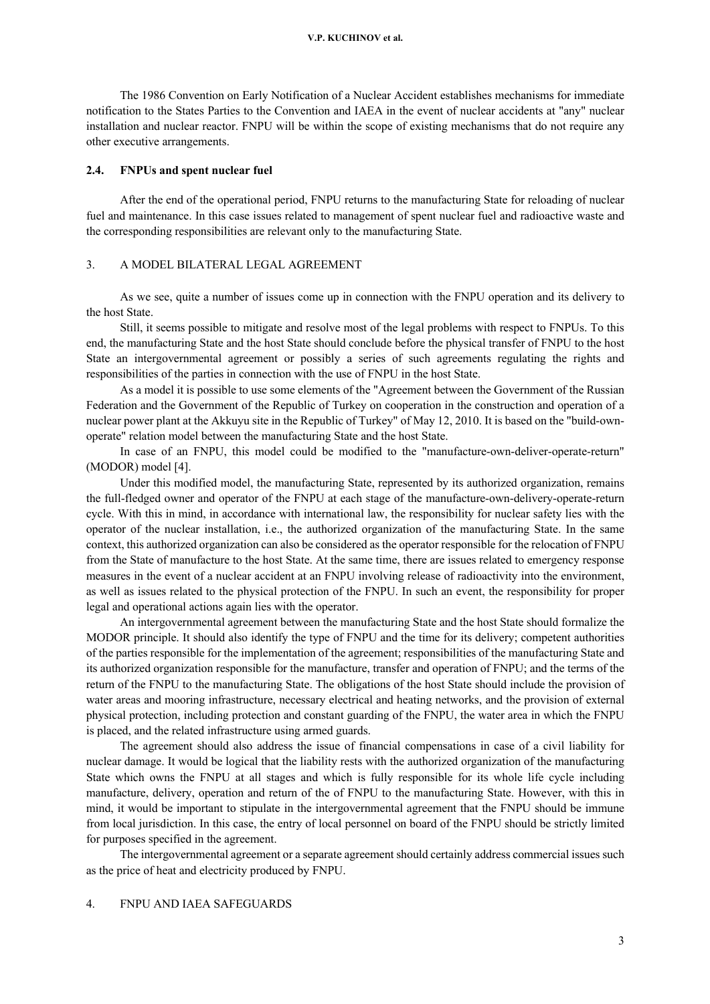The 1986 Convention on Early Notification of a Nuclear Accident establishes mechanisms for immediate notification to the States Parties to the Convention and IAEA in the event of nuclear accidents at "any" nuclear installation and nuclear reactor. FNPU will be within the scope of existing mechanisms that do not require any other executive arrangements.

#### **2.4. FNPUs and spent nuclear fuel**

After the end of the operational period, FNPU returns to the manufacturing State for reloading of nuclear fuel and maintenance. In this case issues related to management of spent nuclear fuel and radioactive waste and the corresponding responsibilities are relevant only to the manufacturing State.

#### 3. A MODEL BILATERAL LEGAL AGREEMENT

As we see, quite a number of issues come up in connection with the FNPU operation and its delivery to the host State.

Still, it seems possible to mitigate and resolve most of the legal problems with respect to FNPUs. To this end, the manufacturing State and the host State should conclude before the physical transfer of FNPU to the host State an intergovernmental agreement or possibly a series of such agreements regulating the rights and responsibilities of the parties in connection with the use of FNPU in the host State.

As a model it is possible to use some elements of the "Agreement between the Government of the Russian Federation and the Government of the Republic of Turkey on cooperation in the construction and operation of a nuclear power plant at the Akkuyu site in the Republic of Turkey" of May 12, 2010. It is based on the "build-ownoperate" relation model between the manufacturing State and the host State.

In case of an FNPU, this model could be modified to the "manufacture-own-deliver-operate-return" (MODOR) model [4].

Under this modified model, the manufacturing State, represented by its authorized organization, remains the full-fledged owner and operator of the FNPU at each stage of the manufacture-own-delivery-operate-return cycle. With this in mind, in accordance with international law, the responsibility for nuclear safety lies with the operator of the nuclear installation, i.e., the authorized organization of the manufacturing State. In the same context, this authorized organization can also be considered as the operator responsible for the relocation of FNPU from the State of manufacture to the host State. At the same time, there are issues related to emergency response measures in the event of a nuclear accident at an FNPU involving release of radioactivity into the environment, as well as issues related to the physical protection of the FNPU. In such an event, the responsibility for proper legal and operational actions again lies with the operator.

An intergovernmental agreement between the manufacturing State and the host State should formalize the MODOR principle. It should also identify the type of FNPU and the time for its delivery; competent authorities of the parties responsible for the implementation of the agreement; responsibilities of the manufacturing State and its authorized organization responsible for the manufacture, transfer and operation of FNPU; and the terms of the return of the FNPU to the manufacturing State. The obligations of the host State should include the provision of water areas and mooring infrastructure, necessary electrical and heating networks, and the provision of external physical protection, including protection and constant guarding of the FNPU, the water area in which the FNPU is placed, and the related infrastructure using armed guards.

The agreement should also address the issue of financial compensations in case of a civil liability for nuclear damage. It would be logical that the liability rests with the authorized organization of the manufacturing State which owns the FNPU at all stages and which is fully responsible for its whole life cycle including manufacture, delivery, operation and return of the of FNPU to the manufacturing State. However, with this in mind, it would be important to stipulate in the intergovernmental agreement that the FNPU should be immune from local jurisdiction. In this case, the entry of local personnel on board of the FNPU should be strictly limited for purposes specified in the agreement.

The intergovernmental agreement or a separate agreement should certainly address commercial issues such as the price of heat and electricity produced by FNPU.

## 4. FNPU AND IAEA SAFEGUARDS